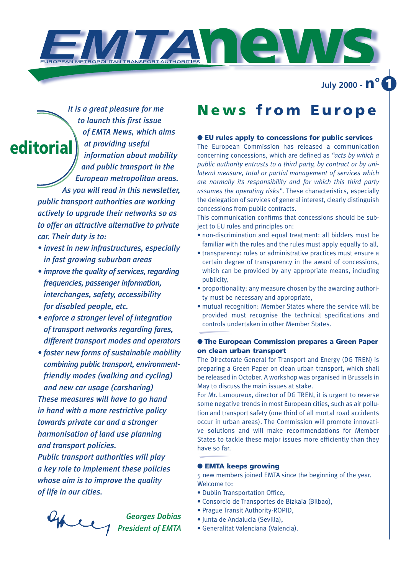

**July 2000 - n° 1**

*It is a great pleasure for me to launch this first issue of EMTA News, which aims at providing useful information about mobility and public transport in the European metropolitan areas. As you will read in this newsletter, public transport authorities are working actively to upgrade their networks so as to offer an attractive alternative to private car. Their duty is to:*  **editorial**

- *invest in new infrastructures, especially in fast growing suburban areas*
- *improve the quality of services, regarding frequencies, passenger information, interchanges, safety, accessibility for disabled people, etc.*
- *enforce a stronger level of integration of transport networks regarding fares, different transport modes and operators*
- *foster new forms of sustainable mobility combining public transport, environmentfriendly modes (walking and cycling) and new car usage (carsharing) These measures will have to go hand in hand with a more restrictive policy towards private car and a stronger harmonisation of land use planning and transport policies.*

*Public transport authorities will play a key role to implement these policies whose aim is to improve the quality of life in our cities.*

chee *Georges Dobias President of EMTA*

## **News from Europe**

### ● **EU rules apply to concessions for public services**

The European Commission has released a communication concerning concessions, which are defined as *"acts by which a public authority entrusts to a third party, by contract or by unilateral measure, total or partial management of services which are normally its responsibility and for which this third party assumes the operating risks"*. These characteristics, especially the delegation of services of general interest, clearly distinguish concessions from public contracts.

This communication confirms that concessions should be subject to EU rules and principles on:

- non-discrimination and equal treatment: all bidders must be familiar with the rules and the rules must apply equally to all,
- transparency: rules or administrative practices must ensure a certain degree of transparency in the award of concessions, which can be provided by any appropriate means, including publicity,
- proportionality: any measure chosen by the awarding authority must be necessary and appropriate,
- mutual recognition: Member States where the service will be provided must recognise the technical specifications and controls undertaken in other Member States.

## ● **The European Commission prepares a Green Paper on clean urban transport**

The Directorate General for Transport and Energy (DG TREN) is preparing a Green Paper on clean urban transport, which shall be released in October. A workshop was organised in Brussels in May to discuss the main issues at stake.

For Mr. Lamoureux, director of DG TREN, it is urgent to reverse some negative trends in most European cities, such as air pollution and transport safety (one third of all mortal road accidents occur in urban areas). The Commission will promote innovative solutions and will make recommendations for Member States to tackle these major issues more efficiently than they have so far.

#### ● **EMTA keeps growing**

5 new members joined EMTA since the beginning of the year. Welcome to:

- •Dublin Transportation Office,
- Consorcio de Transportes de Bizkaia (Bilbao),
- Prague Transit Authority-ROPID,
- Junta de Andalucia (Sevilla),
- Generalitat Valenciana (Valencia).